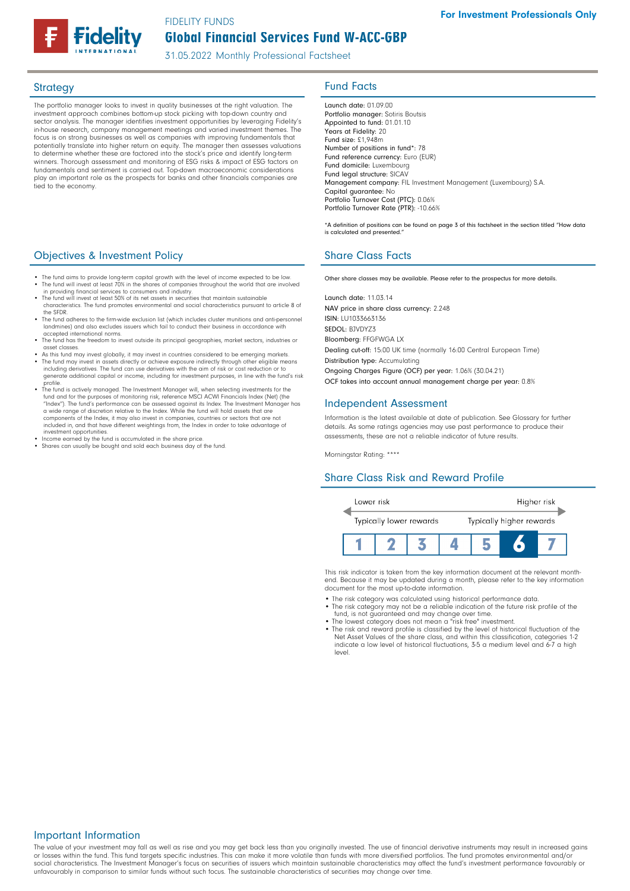31.05.2022 Monthly Professional Factsheet

The portfolio manager looks to invest in quality businesses at the right valuation. The investment approach combines bottom-up stock picking with top-down country and sector analysis. The manager identifies investment opportunities by leveraging Fidelity's in-house research, company management meetings and varied investment themes. The focus is on strong businesses as well as companies with improving fundamentals that potentially translate into higher return on equity. The manager then assesses valuations to determine whether these are factored into the stock's price and identify long-term winners. Thorough assessment and monitoring of ESG risks & impact of ESG factors on fundamentals and sentiment is carried out. Top-down macroeconomic considerations play an important role as the prospects for banks and other financials companies are tied to the economy.

# **Objectives & Investment Policy Share Class Facts** Share Class Facts

- The fund aims to provide long-term capital growth with the level of income expected to be low. • The fund will invest at least 70% in the shares of companies throughout the world that are involved in providing financial services to consumers and industry.
- The fund will invest at least 50% of its net assets in securities that maintain sustainable characteristics. The fund promotes environmental and social characteristics pursuant to article 8 of the SFDR.
- The fund adheres to the firm-wide exclusion list (which includes cluster munitions and anti-person landmines) and also excludes issuers which fail to conduct their business in accordance with
- accepted international norms. • The fund has the freedom to invest outside its principal geographies, market sectors, industries or asset classes.
- As this fund may invest globally, it may invest in countries considered to be emerging markets. • The fund may invest in assets directly or achieve exposure indirectly through other eligible means including derivatives. The fund can use derivatives with the aim of risk or cost reduction or to generate additional capital or income, including for investment purposes, in line with the fund's risk
- profile. The fund is actively managed. The Investment Manager will, when selecting investments for the fund and for the purposes of monitoring risk, reference MSCI ACWI Financials Index (Net) (the "Index"). The fund's performance can be assessed against its Index. The Investment Manager has a wide range of discretion relative to the Index. While the fund will hold assets that are components of the Index, it may also invest in companies, countries or sectors that are not included in, and that have different weightings from, the Index in order to take advantage of
- 
- investment opportunities. Income earned by the fund is accumulated in the share price. Shares can usually be bought and sold each business day of the fund.

# Strategy **Fund Facts**

Launch date: 01.09 00 Portfolio manager: Sotiris Boutsis Appointed to fund: 01.01.10 Years at Fidelity: 20 Fund size: £1,948m Number of positions in fund\*: 78 Fund reference currency: Euro (EUR) Fund domicile: Luxembourg Fund legal structure: SICAV Management company: FIL Investment Management (Luxembourg) S.A. Capital guarantee: No Portfolio Turnover Cost (PTC): 0.06% Portfolio Turnover Rate (PTR): -10.66%

\*A definition of positions can be found on page 3 of this factsheet in the section titled "How data is calculated and presented."

Other share classes may be available. Please refer to the prospectus for more details.

Launch date: 11.03.14 NAV price in share class currency: 2.248 ISIN: LU1033663136 SEDOL: BJVDYZ3 Bloomberg: FFGFWGA LX Dealing cut-off: 15:00 UK time (normally 16:00 Central European Time) Distribution type: Accumulating Ongoing Charges Figure (OCF) per year: 1.06% (30.04.21) OCF takes into account annual management charge per year: 0.8%

### Independent Assessment

Information is the latest available at date of publication. See Glossary for further details. As some ratings agencies may use past performance to produce their assessments, these are not a reliable indicator of future results.

Morningstar Rating: \*\*\*\*

### Share Class Risk and Reward Profile



This risk indicator is taken from the key information document at the relevant monthend. Because it may be updated during a month, please refer to the key information document for the most up-to-date information.

- The risk category was calculated using historical performance data. The risk category may not be a reliable indication of the future risk profile of the
- 
- fund, is not guaranteed and may change over time. The lowest category does not mean a "risk free" investment. The risk and reward profile is classified by the level of historical fluctuation of the Net Asset Values of the share class, and within this classification, categories 1-2 indicate a low level of historical fluctuations, 3-5 a medium level and 6-7 a high level.

### Important Information

The value of your investment may fall as well as rise and you may get back less than you originally invested. The use of financial derivative instruments may result in increased gains or losses within the fund. This fund targets specific industries. This can make it more volatile than funds with more diversified portfolios. The fund promotes environmental and/or social characteristics. The Investment Manager's focus on securities of issuers which maintain sustainable characteristics may affect the fund's investment performance favourably or unfavourably in comparison to similar funds without such focus. The sustainable characteristics of securities may change over time.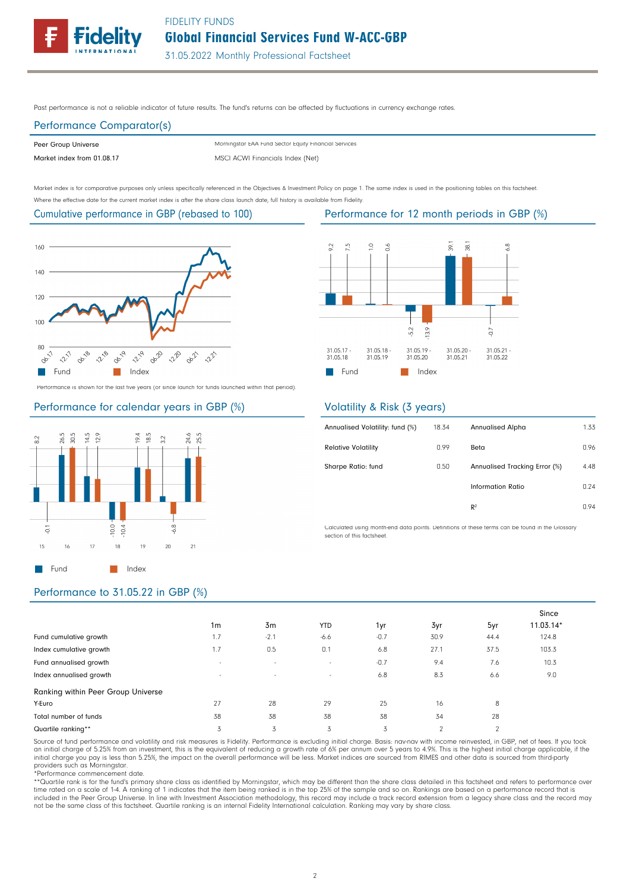

31.05.2022 Monthly Professional Factsheet

Past performance is not a reliable indicator of future results. The fund's returns can be affected by fluctuations in currency exchange rates.

## Performance Comparator(s)

Peer Group Universe

Market index from 01.08.17 MSCI ACWI Financials Index (Net) Morningstar EAA Fund Sector Equity Financial Services

Market index is for comparative purposes only unless specifically referenced in the Objectives & Investment Policy on page 1. The same index is used in the positioning tables on this factsheet. Where the effective date for the current market index is after the share class launch date, full history is available from Fidelity.

### Cumulative performance in GBP (rebased to 100)



Performance is shown for the last five years (or since launch for funds launched within that period).

### Performance for calendar years in GBP (%)



### $\leq$  $\overline{5}$  $38.1$  $9.2$  $\tilde{\mathbf{u}}$  $\delta$  $\frac{\infty}{\infty}$  $3.9$  $5.2$  $\rm G$ 31.05.17<br>31.05.18 31.05.18<br>31.05.19 31.05.20<br>31.05.21 31.05.21<br>31.05.22 31.05.19 31.05.20 **Fund** Index

## Volatility & Risk (3 years)

| Annualised Volatility: fund (%) | 18.34 | <b>Annualised Alpha</b>       | 1.33 |
|---------------------------------|-------|-------------------------------|------|
| <b>Relative Volatility</b>      | 0.99  | Beta                          | 0.96 |
| Sharpe Ratio: fund              | 0.50  | Annualised Tracking Error (%) | 4.48 |
|                                 |       | Information Ratio             | 0.24 |
|                                 |       | R <sup>2</sup>                | 0.94 |
|                                 |       |                               |      |

Calculated using month-end data points. Definitions of these terms can be found in the Glossary section of this factsheet.

# Performance to 31.05.22 in GBP (%)

|                                    |                          |        |                          |        |          |                | Since     |
|------------------------------------|--------------------------|--------|--------------------------|--------|----------|----------------|-----------|
|                                    | 1 <sub>m</sub>           | 3m     | <b>YTD</b>               | 1yr    | 3yr      | 5yr            | 11.03.14* |
| Fund cumulative growth             | 1.7                      | $-2.1$ | $-6.6$                   | $-0.7$ | 30.9     | 44.4           | 124.8     |
| Index cumulative growth            | 1.7                      | 0.5    | 0.1                      | 6.8    | 27.1     | 37.5           | 103.3     |
| Fund annualised growth             | $\overline{\phantom{a}}$ | $\sim$ | $\sim$                   | $-0.7$ | 9.4      | 7.6            | 10.3      |
| Index annualised growth            | $\overline{\phantom{a}}$ | $\sim$ | $\overline{\phantom{a}}$ | 6.8    | 8.3      | 6.6            | 9.0       |
| Ranking within Peer Group Universe |                          |        |                          |        |          |                |           |
| Y-Euro                             | 27                       | 28     | 29                       | 25     | 16       | 8              |           |
| Total number of funds              | 38                       | 38     | 38                       | 38     | 34       | 28             |           |
| Quartile ranking**                 | 3                        | 3      | 3                        | 3      | $\Omega$ | $\overline{2}$ |           |

Source of fund performance and volatility and risk measures is Fidelity. Performance is excluding initial charge. Basis: nav-nav with income reinvested, in GBP, net of fees. If you took an initial charge of 5.25% from an investment, this is the equivalent of reducing a growth rate of 6% per annum over 5 years to 4.9%. This is the highest initial charge applicable, if the<br>initial charge you pay is less tha providers such as Morningstar.

\*Performance commencement date.

\*\*Quartile rank is for the fund's primary share class as identified by Morningstar, which may be different than the share class detailed in this factsheet and refers to performance over time rated on a scale of 1-4. A ranking of 1 indicates that the item being ranked is in the top 25% of the sample and so on. Rankings are based on a performance record that is included in the Peer Group Universe. In line with Investment Association methodology, this record may include a track record extension from a legacy share class and the record may not be the same class of this factsheet. Quartile ranking is an internal Fidelity International calculation. Ranking may vary by share class.

### Performance for 12 month periods in GBP (%)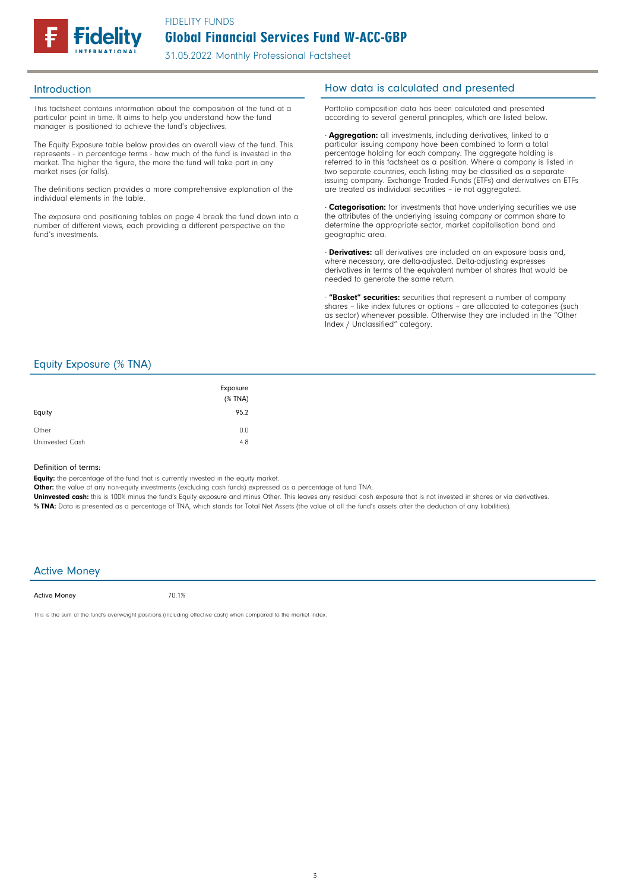

This factsheet contains information about the composition of the fund at a particular point in time. It aims to help you understand how the fund manager is positioned to achieve the fund's objectives.

The Equity Exposure table below provides an overall view of the fund. This represents - in percentage terms - how much of the fund is invested in the market. The higher the figure, the more the fund will take part in any market rises (or falls).

The definitions section provides a more comprehensive explanation of the individual elements in the table.

The exposure and positioning tables on page 4 break the fund down into a number of different views, each providing a different perspective on the fund's investments.

## Introduction **Introduction How data is calculated and presented**

Portfolio composition data has been calculated and presented according to several general principles, which are listed below.

- **Aggregation:** all investments, including derivatives, linked to a particular issuing company have been combined to form a total percentage holding for each company. The aggregate holding is referred to in this factsheet as a position. Where a company is listed in two separate countries, each listing may be classified as a separate issuing company. Exchange Traded Funds (ETFs) and derivatives on ETFs are treated as individual securities – ie not aggregated.

**Categorisation:** for investments that have underlying securities we use the attributes of the underlying issuing company or common share to determine the appropriate sector, market capitalisation band and geographic area.

- **Derivatives:** all derivatives are included on an exposure basis and, where necessary, are delta-adjusted. Delta-adjusting expresses derivatives in terms of the equivalent number of shares that would be needed to generate the same return.

"Basket" securities: securities that represent a number of company shares - like index futures or options - are allocated to categories (such as sector) whenever possible. Otherwise they are included in the "Other Index / Unclassified" category.

## Equity Exposure (% TNA)

| Equity          | Exposure<br>$(%$ (% TNA)<br>95.2 |
|-----------------|----------------------------------|
| Other           | 0.0                              |
| Uninvested Cash | 4.8                              |

### Definition of terms:

Equity: the percentage of the fund that is currently invested in the equity market.

Other: the value of any non-equity investments (excluding cash funds) expressed as a percentage of fund TNA.

Uninvested cash: this is 100% minus the fund's Equity exposure and minus Other. This leaves any residual cash exposure that is not invested in shares or via derivatives. % TNA: Data is presented as a percentage of TNA, which stands for Total Net Assets (the value of all the fund's assets after the deduction of any liabilities).

### Active Money

Active Money

70.1%

This is the sum of the fund's overweight positions (including effective cash) when compared to the market index.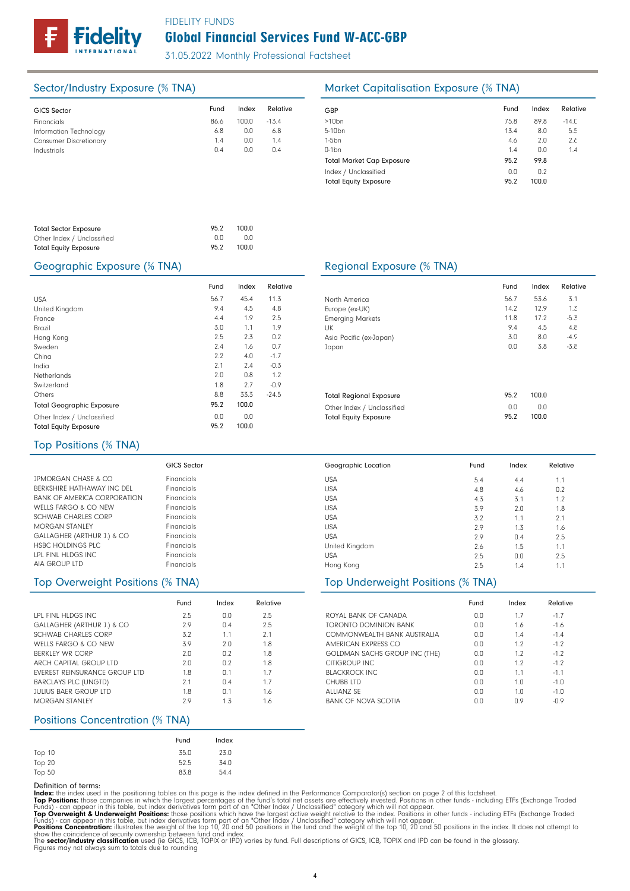

31.05.2022 Monthly Professional Factsheet

| <b>GICS Sector</b>            | Fund | Index | Relative | GBP              |
|-------------------------------|------|-------|----------|------------------|
| Financials                    | 86.6 | 100.0 | $-13.4$  | >10 <sub>k</sub> |
| Information Technology        | 6.8  | 0.0   | 6.8      | $5 - 10$         |
| <b>Consumer Discretionary</b> | 1.4  | 0.0   | 1.4      | $1-5b$           |
| Industrials                   | 0.4  | 0.0   | 0.4      | $0-1b$           |
|                               |      |       |          | Tota             |
|                               |      |       |          | Inde             |
|                               |      |       |          | $\tau$ .         |

# Sector/Industry Exposure (% TNA) Market Capitalisation Exposure (% TNA)

| Fund | Index | Relative |
|------|-------|----------|
| 75.8 | 89.8  | $-14.0$  |
| 13.4 | 8.0   | 5.5      |
| 4.6  | 2.0   | 2.6      |
| 1.4  | 0.0   | 1.4      |
| 95.2 | 99.8  |          |
| 0.0  | 0.2   |          |
| 95.2 | 100.0 |          |
|      |       |          |

| <b>Total Sector Exposure</b> | 95.2 | 100.0 |
|------------------------------|------|-------|
| Other Index / Unclassified   | n n  | 0.0   |
| <b>Total Equity Exposure</b> | 95.2 | 100.0 |

### Geographic Exposure (% TNA) Geographic Exposure (% TNA)

|                                  | Fund | Index | Relative |  |
|----------------------------------|------|-------|----------|--|
| <b>USA</b>                       | 56.7 | 45.4  | 11.3     |  |
| United Kingdom                   | 9.4  | 4.5   | 4.8      |  |
| France                           | 4.4  | 1.9   | 2.5      |  |
| Brazil                           | 3.0  | 1.1   | 1.9      |  |
| Hong Kong                        | 2.5  | 2.3   | 0.2      |  |
| Sweden                           | 2.4  | 1.6   | 0.7      |  |
| China                            | 2.2  | 4.0   | $-1.7$   |  |
| India                            | 2.1  | 2.4   | $-0.3$   |  |
| <b>Netherlands</b>               | 2.0  | 0.8   | 1.2      |  |
| Switzerland                      | 1.8  | 2.7   | $-0.9$   |  |
| Others                           | 8.8  | 33.3  | $-24.5$  |  |
| <b>Total Geographic Exposure</b> | 95.2 | 100.0 |          |  |
| Other Index / Unclassified       | 0.0  | 0.0   |          |  |
| <b>Total Equity Exposure</b>     | 95.2 | 100.0 |          |  |

|                                | Fund | Index | Relative |
|--------------------------------|------|-------|----------|
| North America                  | 56.7 | 53.6  | 3.1      |
| Europe (ex-UK)                 | 14.7 | 12.9  | 1.3      |
| <b>Emerging Markets</b>        | 11.8 | 17.2  | $-5.3$   |
| UK                             | 9.4  | 4.5   | 4.8      |
| Asia Pacific (ex-Japan)        | 3.0  | 8.0   | $-4.9$   |
| Japan                          | 0.0  | 3.8   | $-3.8$   |
|                                |      |       |          |
| <b>Total Regional Exposure</b> | 95.2 | 100.0 |          |
| Other Index / Unclassified     | 0.0  | 0.0   |          |
| <b>Total Equity Exposure</b>   | 95.2 | 100.0 |          |

4.4 4.6

5.4 4.8

2.9 2.6 2.5  $2.5$ 

Fund Index Relative

1.1 0.2 1.2 1.8 2.1 1.6 2.5 1.1 2.5 1.1

0.4 1.5 0.0 1.4

### Top Positions (% TNA)

|                                | <b>GICS Sector</b> |
|--------------------------------|--------------------|
| <b>JPMORGAN CHASE &amp; CO</b> | Financials         |
| BERKSHIRE HATHAWAY INC DEL     | Financials         |
| BANK OF AMERICA CORPORATION    | Financials         |
| WELLS FARGO & CO NFW           | Financials         |
| SCHWAB CHARLES CORP            | Financials         |
| MORGAN STANLEY                 | Financials         |
| GALLAGHER (ARTHUR J.) & CO     | Financials         |
| HSBC HOLDINGS PLC              | Financials         |
| LPL FINL HLDGS INC             | Financials         |
| AIA GROUP LTD                  | Financials         |

## Top Overweight Positions (% TNA) Top Underweight Positions (% TNA)

|                               | Fund | Index | Relative |
|-------------------------------|------|-------|----------|
| LPL FINL HLDGS INC.           | 2.5  | 0.0   | 2.5      |
| GALLAGHER (ARTHUR J.) & CO    | 2.9  | 0.4   | 2.5      |
| SCHWAB CHARLES CORP           | 3.2  | 1.1   | 2.1      |
| WELLS FARGO & CO NEW          | 3.9  | 2.0   | 1.8      |
| BERKLEY WR CORP               | 2.0  | 0.2   | 1.8      |
| ARCH CAPITAL GROUP LTD        | 2.0  | 0.2   | 1.8      |
| EVEREST REINSURANCE GROUP LTD | 1.8  | 0.1   | 1.7      |
| <b>BARCLAYS PLC (UNGTD)</b>   | 2.1  | 0.4   | 1.7      |
| <b>JULIUS BAFR GROUP LTD</b>  | 1.8  | 0.1   | 1.6      |
| MORGAN STANLEY                | 2.9  | 1.3   | 1.6      |

### Positions Concentration (% TNA)

|               | Fund | Index |
|---------------|------|-------|
| Top 10        | 35.0 | 23.0  |
| <b>Top 20</b> | 52.5 | 34.0  |
| Top 50        | 83.8 | 54.4  |

Definition of terms:<br>
Top Positions: these din the positioning tables on this page is the index defined in the Performance Comparator(s) section on page 2 of this factsheet.<br>
ITOP Positions: those companies in which the la

USA USA

Geographic Location

USA United Kingdom USA Hong Kong

### USA USA USA USA 3.1 2.0 1.1 1.3 4.3 3.9 3.2 2.9

|                               | Fund | Index | Relative |
|-------------------------------|------|-------|----------|
| ROYAL BANK OF CANADA          | 0.0  | 1.7   | $-1.7$   |
| TORONTO DOMINION BANK         | 0.0  | 1.6   | $-1.6$   |
| COMMONWFALTH BANK AUSTRALIA   | 0.0  | 1.4   | $-1.4$   |
| AMERICAN EXPRESS CO           | 0.0  | 12    | $-1.2$   |
| GOLDMAN SACHS GROUP INC (THE) | 0.0  | 1.2   | $-1.2$   |
| CITIGROUP INC.                | 0.0  | 1.2   | $-1.2$   |
| <b>BLACKROCK INC.</b>         | 0.0  | 1.1   | $-1.1$   |
| CHUBB LTD                     | 0.0  | 1.0   | $-1.0$   |
| ALLIANZ SF                    | 0.0  | 1.0   | $-1.0$   |
| <b>BANK OF NOVA SCOTIA</b>    | nη   | 0.9   | $-0.9$   |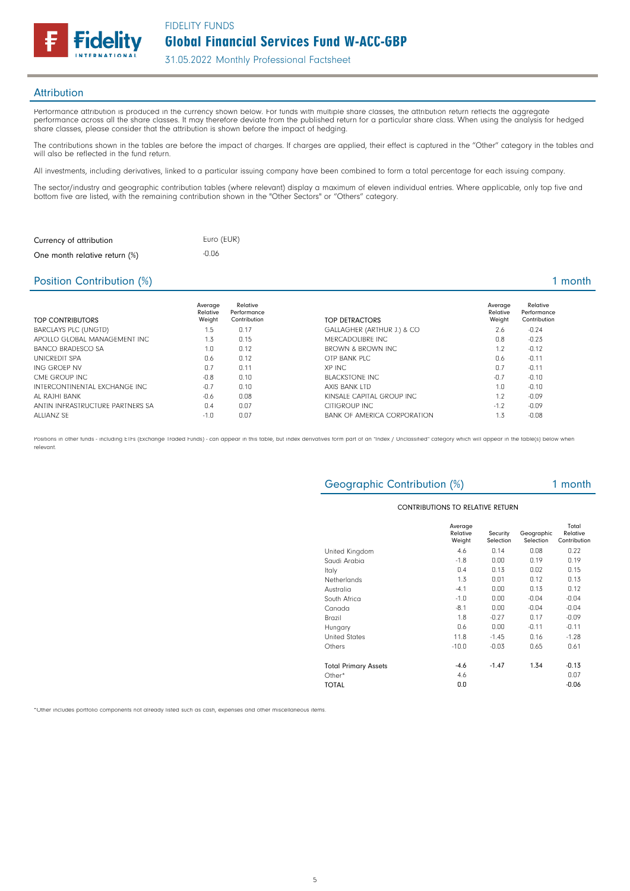31.05.2022 Monthly Professional Factsheet

### **Attribution**

Performance attribution is produced in the currency shown below. For funds with multiple share classes, the attribution return reflects the aggregate performance across all the share classes. It may therefore deviate from the published return for a particular share class. When using the analysis for hedged share classes, please consider that the attribution is shown before the impact of hedging.

The contributions shown in the tables are before the impact of charges. If charges are applied, their effect is captured in the "Other" category in the tables and will also be reflected in the fund return.

All investments, including derivatives, linked to a particular issuing company have been combined to form a total percentage for each issuing company.

The sector/industry and geographic contribution tables (where relevant) display a maximum of eleven individual entries. Where applicable, only top five and bottom five are listed, with the remaining contribution shown in the "Other Sectors" or "Others" category.

| Currency of attribution       | Euro (EUR) |
|-------------------------------|------------|
| One month relative return (%) | $-0.06$    |

delity

### Position Contribution (%) 2 and 2 and 2 and 2 and 2 and 2 and 2 and 2 and 2 and 2 and 2 and 2 and 2 and 2 and 2 and 2 and 2 and 2 and 2 and 2 and 2 and 2 and 2 and 2 and 2 and 2 and 2 and 2 and 2 and 2 and 2 and 2 and 2 an

| TOP CONTRIBUTORS                 | Average<br>Relative<br>Weight | Relative<br>Performance<br>Contribution | TOP DETRACTORS               | Average<br>Relative<br>Weight | Relative<br>Performance<br>Contribution |
|----------------------------------|-------------------------------|-----------------------------------------|------------------------------|-------------------------------|-----------------------------------------|
| <b>BARCLAYS PLC (UNGTD)</b>      | 1.5                           | 0.17                                    | GALLAGHER (ARTHUR J.) & CO   | 2.6                           | $-0.24$                                 |
| APOLLO GLOBAL MANAGEMENT INC     | 1.3                           | 0.15                                    | MERCADOLIBRE INC             | 0.8                           | $-0.23$                                 |
| <b>BANCO BRADESCO SA</b>         | 1.0                           | 0.12                                    | <b>BROWN &amp; BROWN INC</b> | 1.2                           | $-0.12$                                 |
| UNICREDIT SPA                    | 0.6                           | 0.12                                    | OTP BANK PLC                 | 0.6                           | $-0.11$                                 |
| ING GROFP NV                     | 0.7                           | 0.11                                    | XP INC                       | 0.7                           | $-0.11$                                 |
| CMF GROUP INC                    | $-0.8$                        | 0.10                                    | <b>BLACKSTONE INC</b>        | $-0.7$                        | $-0.10$                                 |
| INTERCONTINENTAL EXCHANGE INC    | $-0.7$                        | 0.10                                    | AXIS BANK LTD                | 1.0                           | $-0.10$                                 |
| AL RAJHI BANK                    | $-0.6$                        | 0.08                                    | KINSALE CAPITAL GROUP INC    | 1.2                           | $-0.09$                                 |
| ANTIN INFRASTRUCTURE PARTNERS SA | 0.4                           | 0.07                                    | <b>CITIGROUP INC</b>         | $-1.7$                        | $-0.09$                                 |
| ALLIANZ SF                       | $-1.0$                        | 0.07                                    | BANK OF AMERICA CORPORATION  | 1.3                           | $-0.08$                                 |

Positions in other funds - including ETFs (Exchange Traded Funds) - can appear in this table, but index derivatives form part of an "Index / Unclassified" category which will appear in the table(s) below when relevant.

# Geographic Contribution (%) 1 month

### CONTRIBUTIONS TO RELATIVE RETURN

|                             | Average<br>Relative<br>Weight | Security<br>Selection | Geographic<br>Selection | Total<br>Relative<br>Contribution |
|-----------------------------|-------------------------------|-----------------------|-------------------------|-----------------------------------|
| United Kingdom              | 4.6                           | 0.14                  | 0.08                    | 0.22                              |
| Saudi Arabia                | $-1.8$                        | 0.00                  | 0.19                    | 0.19                              |
| Italy                       | 0.4                           | 0.13                  | 0.02                    | 0.15                              |
| Netherlands                 | 1.3                           | 0.01                  | 0.12                    | 0.13                              |
| Australia                   | $-4.1$                        | 0.00                  | 0.13                    | 0.12                              |
| South Africa                | $-1.0$                        | 0.00                  | $-0.04$                 | $-0.04$                           |
| Canada                      | $-8.1$                        | 0.00                  | $-0.04$                 | $-0.04$                           |
| Brazil                      | 1.8                           | $-0.27$               | 0.17                    | $-0.09$                           |
| Hungary                     | 0.6                           | 0.00                  | $-0.11$                 | $-0.11$                           |
| <b>United States</b>        | 11.8                          | $-1.45$               | 0.16                    | $-1.28$                           |
| Others                      | $-10.0$                       | $-0.03$               | 0.65                    | 0.61                              |
| <b>Total Primary Assets</b> | $-4.6$                        | $-1.47$               | 1.34                    | $-0.13$                           |
| Other*                      | 4.6                           |                       |                         | 0.07                              |
| TOTAL                       | 0.0                           |                       |                         | $-0.06$                           |

\*Other includes portfolio components not already listed such as cash, expenses and other miscellaneous items.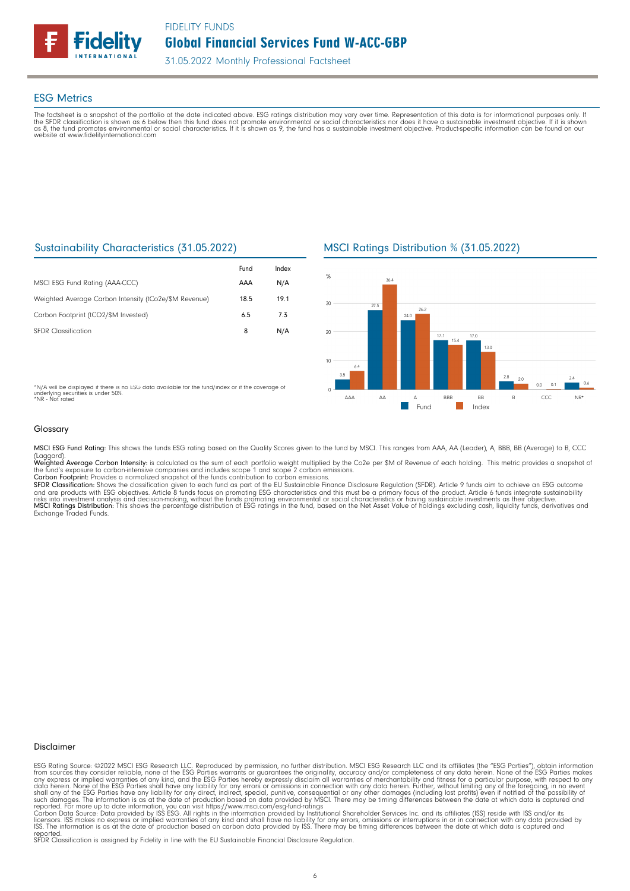

### ESG Metrics

The factsheet is a snapshot of the portfolio at the date indicated above. ESG ratings distribution may vary over time. Representation of this data is for informational purposes only. If<br>the SFDR classification is shown as website at www.fidelityinternational.com

# Sustainability Characteristics (31.05.2022)

|                                                       | Fund | Index |
|-------------------------------------------------------|------|-------|
| MSCI ESG Fund Rating (AAA-CCC)                        | AAA  | N/A   |
| Weighted Average Carbon Intensity (tCo2e/\$M Revenue) | 18.5 | 19.1  |
| Carbon Footprint (tCO2/\$M Invested)                  | 6.5  | 73    |
| <b>SEDR</b> Classification                            | 8    | N/A   |

\*N/A will be displayed if there is no ESG data available for the fund/index or if the coverage of underlying securities is under 50%. \*NR - Not rated

MSCI Ratings Distribution % (31.05.2022)



Glossary

MSCI ESG Fund Rating: This shows the funds ESG rating based on the Quality Scores given to the fund by MSCI. This ranges from AAA, AA (Leader), A, BBB, BB (Average) to B, CCC

(Laggard).<br>**Weighted Average Carbon Intensity**: is calculated as the sum of each portfolio weight multiplied by the Co2e per \$M of Revenue of each holding. This metric provides a snapshot o

the fund's exposure to carbon-intensive companies and includes scope 1 and scope 2 carbon emissions.<br>**Carbon Footprint**: Provides a normalized snapshot of the funds contribution to carbon emissions.<br>**SFDR Classification:** and are products with ESG objectives. Article 8 funds focus on promoting ESG characteristics and this must be a primary focus of the product. Article 6 funds integrate sustainability<br>risks into investment analysis and deci

### Disclaimer

ESG Rating Source: ©2022 MSCI ESG Research LLC. Reproduced by permission, no further distribution. MSCI ESG Research LLC and its affiliates (the "ESG Parties"), obtain information<br>from sources they consider reliable, none

reported. SFDR Classification is assigned by Fidelity in line with the EU Sustainable Financial Disclosure Regulation.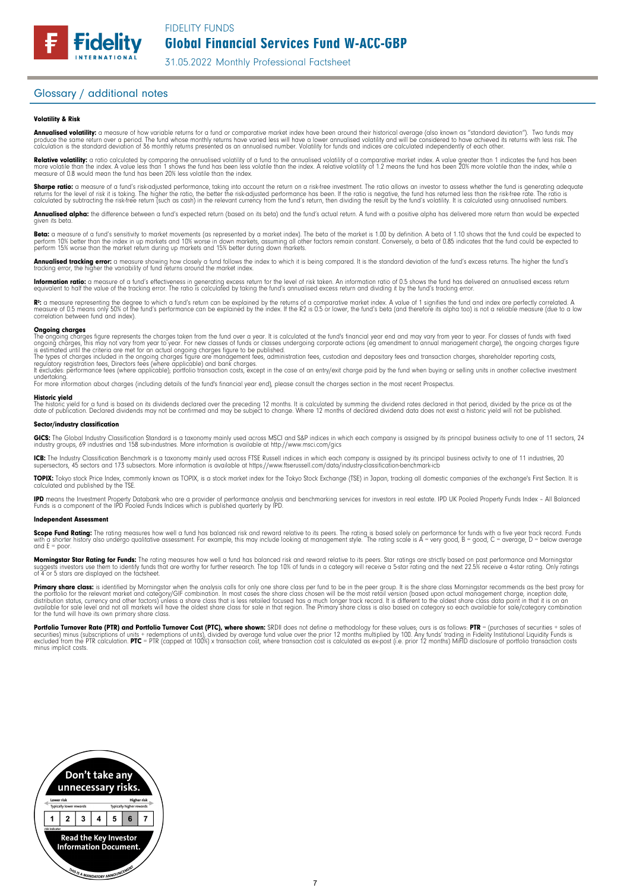### Glossary / additional notes

**Fidelity** 

### Volatility & Risk

**Annualised volatility:** a measure of how variable returns for a fund or comparative market index have been around their historical average (also known as "standard deviation"). Two funds may<br>produce the same return over a calculation is the standard deviation of 36 monthly returns presented as an annualised number. Volatility for funds and indices are calculated independently of each other

**Relative volatility:** a ratio calculated by comparing the annualised volatility of a fund to the annualised volatility of a comparative market index. A value greater than 1 indicates the fund has been<br>more volatile than t measure of 0.8 would mean the fund has been 20% less volatile than the index.

**Sharpe ratio:** a measure of a fund's risk-adjusted performance, taking into account the return on a risk-free investment. The ratio allows an investor to assess whether the fund is generating adequate the tund is generati

Annualised alpha: the difference between a fund's expected return (based on its beta) and the fund's actual return. A fund with a positive alpha has delivered more return than would be expected given its beta

**Beta:** a measure of a fund's sensitivity to market movements (as represented by a market index). The beta of the market is 1.00 by definition. A beta of 1.10 shows that the fund could be expected to<br>perform 10% better tha perform 15% worse than the market return during up markets and 15% better during down markets.

**Annualised tracking error:** a measure showing how closely a tund tollows the index to which it is being compared. It is the standard deviation of the fund's excess returns. The higher the fund's<br>tracking error, the higher

**Information ratio:** a measure ot a tund's eftectiveness in generating excess return for the level of risk taken. An information ratio of U.5 shows the fund has delivered an annualised excess return<br>equivalent to half the

Rº: a measure representing the degree to which a fund's return can be explained by the returns of a comparative market index. A value of 1 signifies the fund and index are perfectly correlated. A<br>measure of 0.5 means only correlation between fund and index).

**Ongoing charges** figure represents the charges taken from the fund over a year. It is calculated at the fund's financial year end and may vary from year to year. For classes of funds with fixed ongoing charges figure repr

For more information about charges (including details of the fund's financial year end), please consult the charges section in the most recent Prospectus.

**Historic yield**<br>The historic yield for a fund is based on its dividends declared over the preceding 12 months. It is calculated by summing the dividend rates declared in that period, divided by the price as at the date of publication. Declared dividends may not be confirmed and may be subject to change. Where 12 months of declared dividend data does not exist a historic yield will not be published.

### Sector/industry classification

GICS: The Global Industry Classification Standard is a taxonomy mainly used across MSCI and S&P indices in which each company is assigned by its principal business activity to one of 11 sectors, 24 industry groups, 69 industries and 158 sub-industries. More information is available at http://www.msci.com/gics

**ICB:** The Industry Classitication Benchmark is a taxonomy mainly used across FTSE Russell indices in which each company is assigned by its principal business activity to one of 11 industries, 20<br>supersectors, 45 sectors a

TOPIX: Tokyo stock Price Index, commonly known as TOPIX, is a stock market index for the Tokyo Stock Exchange (TSE) in Japan, tracking all domestic companies of the exchange's First Section. It is calculated and published by the TSE.

**IPD** means the Investment Property Databank who are a provider of performance analysis and benchmarking services for investors in real estate. IPD UK Pooled Property Funds Index - All Balanced<br>Funds is a component of the

### Independent Assessment

**Scope Fund Rating:** The rating measures how well a fund has balanced risk and reward relative to its peers. The rating is based solely on performance for funds with a five year track record. Funds<br>with a shorter history a and  $E = poor$ 

**Morningstar Star Rating for Funds:** The rating measures how well a tund has balanced risk and reward relative to its peers. Star ratings are strictly based on past performance and Morningstar<br>suggests investors use them t

**Primary share class:** is identified by Morningstar when the analysis calls for only one share class per fund to be in the peer group. It is the share class Morningstar recommends as the best proxy for the best proxy for c for the fund will have its own primary share class.

Portfolio Turnover Rate (PTR) and Portfolio Turnover Cost (PTC), where shown: SRDII does not define a methodology for these values; ours is as follows: PTR = (purchases of securities + sales of<br>securities) minus (subscript minus implicit costs.